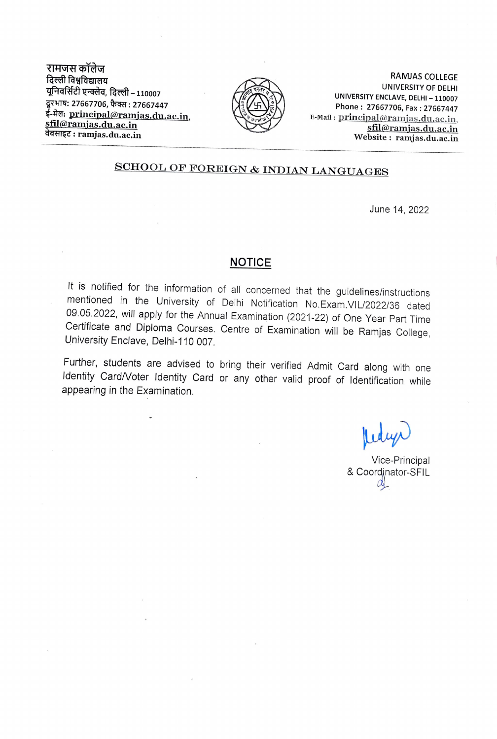रामजस कॉलेज दिल्ली विश्वविद्यालय ग्रुनिवर्सिटी एन्क्लेव, दिल्ली - 110007 दरभाष: 27667706, फैक्स: 27667447 ई-मेल: <u>principal@ramjas.du.ac.in,</u><br><u>sfil@ramjas.du.ac.in</u> वेबसाइट: ramjas.du.ac.in



RAMJAS COLLEGE<br>UNIVERSITY OF DELHI UNIVERSITY ENCLAVE, DELHI - 110007<br>Phone: 27667706, Fax: 27667447 E-Mail: principal@ramjas.du.ac.in, sfil@ramjas.du.ac.in Website: ramjas.du.ac.in

## SCHOOL OF FOREIGN & INDIAN LANGUAGES

June 14, 2022

## **NOTICE**

It is notified for the information of all concerned that the guidelines/instructions<br>mentioned in the University of Delhi Notification No.Exam.VIL/2022/36 dated<br>09.05.2022, will apply for the Annual Examination (2021-22) o Certificate and Diploma Courses. Centre of Examination will be Ramjas College, University Enclave, Delhi-110 007.

Further, students are advised to bring their verified Admit Card along with one Identity Card/Voter ldentity Card or any other valid proof of ldentification while appearing in the Examination.

Vice-Principal<br>& Coordinator-SFIL  $\alpha$